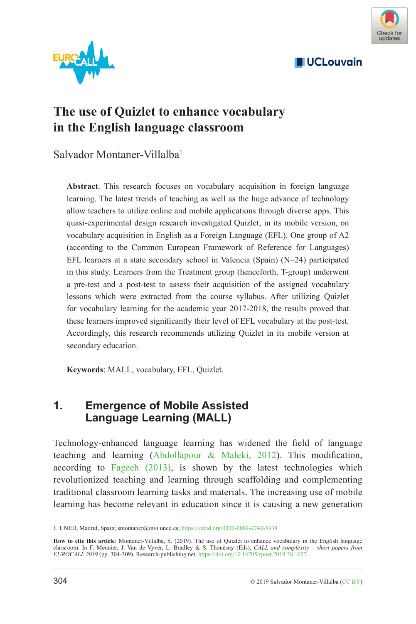

**UCLouvain** 



# **The use of Quizlet to enhance vocabulary in the English language classroom**

Salvador Montaner-Villalba1

**Abstract**. This research focuses on vocabulary acquisition in foreign language learning. The latest trends of teaching as well as the huge advance of technology allow teachers to utilize online and mobile applications through diverse apps. This quasi-experimental design research investigated Quizlet, in its mobile version, on vocabulary acquisition in English as a Foreign Language (EFL). One group of A2 (according to the Common European Framework of Reference for Languages) EFL learners at a state secondary school in Valencia (Spain) (N=24) participated in this study. Learners from the Treatment group (henceforth, T-group) underwent a pre-test and a post-test to assess their acquisition of the assigned vocabulary lessons which were extracted from the course syllabus. After utilizing Quizlet for vocabulary learning for the academic year 2017-2018, the results proved that these learners improved significantly their level of EFL vocabulary at the post-test. Accordingly, this research recommends utilizing Quizlet in its mobile version at secondary education.

**Keywords**: MALL, vocabulary, EFL, Quizlet.

## **1. Emergence of Mobile Assisted Language Learning (MALL)**

Technology-enhanced language learning has widened the field of language teaching and learning ([Abdollapour & Maleki, 2012](#page-4-0)). This modification, according to [Fageeh \(2013\),](#page-4-1) is shown by the latest technologies which revolutionized teaching and learning through scaffolding and complementing traditional classroom learning tasks and materials. The increasing use of mobile learning has become relevant in education since it is causing a new generation

<sup>1.</sup> UNED, Madrid, Spain; smontaner@invi.uned.es;<https://orcid.org/0000-0002-2742-5338>

How to cite this article: Montaner-Villalba, S. (2019). The use of Quizlet to enhance vocabulary in the English language<br>classroom. In F. Meunier, J. Van de Vyver, L. Bradley & S. Thouësny (Eds), CALL and complexity – shor *EUROCALL 2019* (pp. 304-309). Research-publishing.net. <https://doi.org/10.14705/rpnet.2019.38.1027>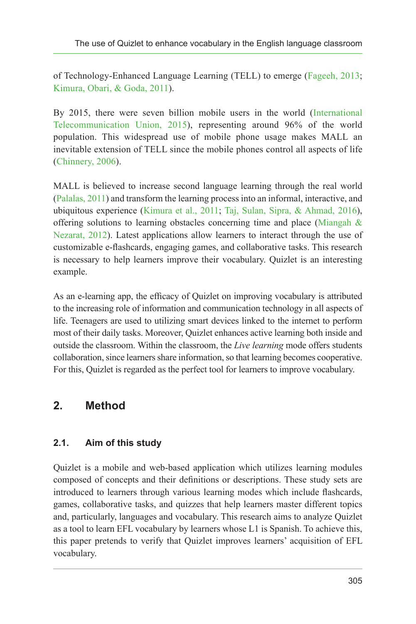of Technology-Enhanced Language Learning (TELL) to emerge ([Fageeh, 2013](#page-4-1); [Kimura, Obari, & Goda, 2011](#page-4-2)).

By 2015, there were seven billion mobile users in the world ([International](#page-4-3) [Telecommunication Union, 2015\)](#page-4-3), representing around 96% of the world population. This widespread use of mobile phone usage makes MALL an inevitable extension of TELL since the mobile phones control all aspects of life [\(Chinnery, 2006](#page-4-4)).

MALL is believed to increase second language learning through the real world [\(Palalas, 2011](#page-5-0)) and transform the learning process into an informal, interactive, and ubiquitous experience ([Kimura et al., 2011;](#page-4-2) [Taj, Sulan, Sipra, & Ahmad, 2016](#page-5-1)), offering solutions to learning obstacles concerning time and place (Miangah  $\&$ [Nezarat, 2012\)](#page-5-2). Latest applications allow learners to interact through the use of customizable e-flashcards, engaging games, and collaborative tasks. This research is necessary to help learners improve their vocabulary. Quizlet is an interesting example.

As an e-learning app, the efficacy of Quizlet on improving vocabulary is attributed to the increasing role of information and communication technology in all aspects of life. Teenagers are used to utilizing smart devices linked to the internet to perform most of their daily tasks. Moreover, Quizlet enhances active learning both inside and outside the classroom. Within the classroom, the *Live learning* mode offers students collaboration, since learners share information, so that learning becomes cooperative. For this, Quizlet is regarded as the perfect tool for learners to improve vocabulary.

# **2. Method**

### **2.1. Aim of this study**

Quizlet is a mobile and web-based application which utilizes learning modules composed of concepts and their definitions or descriptions. These study sets are introduced to learners through various learning modes which include flashcards, games, collaborative tasks, and quizzes that help learners master different topics and, particularly, languages and vocabulary. This research aims to analyze Quizlet as a tool to learn EFL vocabulary by learners whose L1 is Spanish. To achieve this, this paper pretends to verify that Quizlet improves learners' acquisition of EFL vocabulary.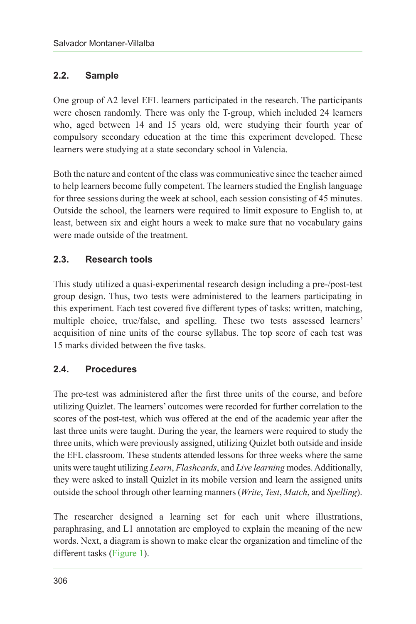#### **2.2. Sample**

One group of A2 level EFL learners participated in the research. The participants were chosen randomly. There was only the T-group, which included 24 learners who, aged between 14 and 15 years old, were studying their fourth year of compulsory secondary education at the time this experiment developed. These learners were studying at a state secondary school in Valencia.

Both the nature and content of the class was communicative since the teacher aimed to help learners become fully competent. The learners studied the English language for three sessions during the week at school, each session consisting of 45 minutes. Outside the school, the learners were required to limit exposure to English to, at least, between six and eight hours a week to make sure that no vocabulary gains were made outside of the treatment.

### **2.3. Research tools**

This study utilized a quasi-experimental research design including a pre-/post-test group design. Thus, two tests were administered to the learners participating in this experiment. Each test covered five different types of tasks: written, matching, multiple choice, true/false, and spelling. These two tests assessed learners' acquisition of nine units of the course syllabus. The top score of each test was 15 marks divided between the five tasks.

### **2.4. Procedures**

The pre-test was administered after the first three units of the course, and before utilizing Quizlet. The learners' outcomes were recorded for further correlation to the scores of the post-test, which was offered at the end of the academic year after the last three units were taught. During the year, the learners were required to study the three units, which were previously assigned, utilizing Quizlet both outside and inside the EFL classroom. These students attended lessons for three weeks where the same units were taught utilizing *Learn*, *Flashcards*, and *Live learning* modes. Additionally, they were asked to install Quizlet in its mobile version and learn the assigned units outside the school through other learning manners (*Write*, *Test*, *Match*, and *Spelling*).

The researcher designed a learning set for each unit where illustrations, paraphrasing, and L1 annotation are employed to explain the meaning of the new words. Next, a diagram is shown to make clear the organization and timeline of the different tasks [\(Figure 1\)](#page-3-0).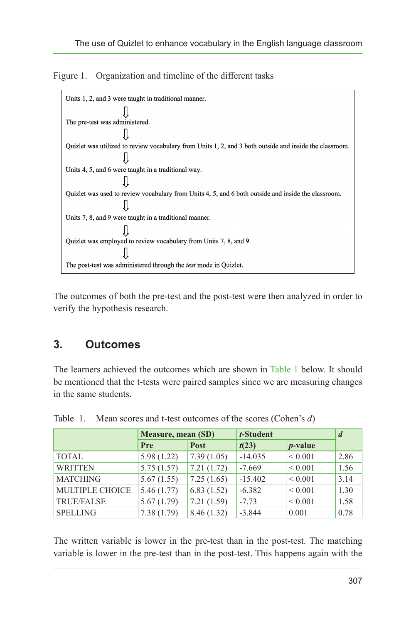

<span id="page-3-0"></span>Figure 1. Organization and timeline of the different tasks

The outcomes of both the pre-test and the post-test were then analyzed in order to verify the hypothesis research.

## **3. Outcomes**

The learners achieved the outcomes which are shown in [Table 1](#page-3-1) below. It should be mentioned that the t-tests were paired samples since we are measuring changes in the same students.

|                   | Measure, mean (SD) |            | t-Student |              | $\boldsymbol{d}$ |
|-------------------|--------------------|------------|-----------|--------------|------------------|
|                   | Pre                | Post       | t(23)     | $p$ -value   |                  |
| <b>TOTAL</b>      | 5.98(1.22)         | 7.39(1.05) | $-14.035$ | ${}_{0.001}$ | 2.86             |
| <b>WRITTEN</b>    | 5.75(1.57)         | 7.21(1.72) | $-7.669$  | ${}_{0.001}$ | 1.56             |
| <b>MATCHING</b>   | 5.67(1.55)         | 7.25(1.65) | $-15.402$ | ${}_{0.001}$ | 3.14             |
| MULTIPLE CHOICE   | 5.46(1.77)         | 6.83(1.52) | $-6.382$  | ${}_{0.001}$ | 1.30             |
| <b>TRUE/FALSE</b> | 5.67(1.79)         | 7.21(1.59) | $-7.73$   | ${}_{0.001}$ | 1.58             |
| <b>SPELLING</b>   | 7.38(1.79)         | 8.46(1.32) | $-3.844$  | 0.001        | 0.78             |

<span id="page-3-1"></span>Table 1. Mean scores and t-test outcomes of the scores (Cohen's *d*)

The written variable is lower in the pre-test than in the post-test. The matching variable is lower in the pre-test than in the post-test. This happens again with the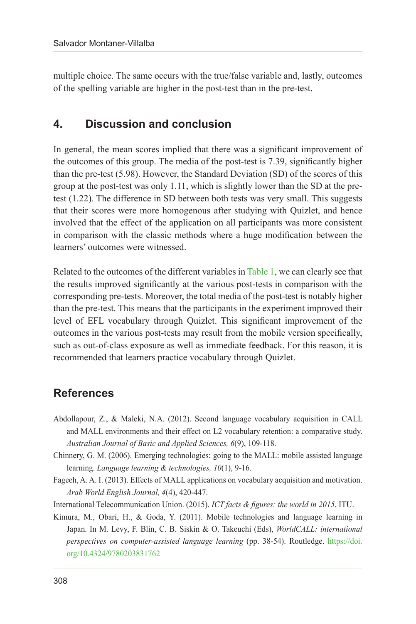multiple choice. The same occurs with the true/false variable and, lastly, outcomes of the spelling variable are higher in the post-test than in the pre-test.

## **4. Discussion and conclusion**

In general, the mean scores implied that there was a significant improvement of the outcomes of this group. The media of the post-test is 7.39, significantly higher than the pre-test (5.98). However, the Standard Deviation (SD) of the scores of this group at the post-test was only 1.11, which is slightly lower than the SD at the pretest (1.22). The difference in SD between both tests was very small. This suggests that their scores were more homogenous after studying with Quizlet, and hence involved that the effect of the application on all participants was more consistent in comparison with the classic methods where a huge modification between the learners' outcomes were witnessed.

Related to the outcomes of the different variables in [Table 1,](#page-3-1) we can clearly see that the results improved significantly at the various post-tests in comparison with the corresponding pre-tests. Moreover, the total media of the post-test is notably higher than the pre-test. This means that the participants in the experiment improved their level of EFL vocabulary through Quizlet. This significant improvement of the outcomes in the various post-tests may result from the mobile version specifically, such as out-of-class exposure as well as immediate feedback. For this reason, it is recommended that learners practice vocabulary through Quizlet.

## **References**

- <span id="page-4-0"></span>Abdollapour, Z., & Maleki, N.A. (2012). Second language vocabulary acquisition in CALL and MALL environments and their effect on L2 vocabulary retention: a comparative study. *Australian Journal of Basic and Applied Sciences, 6*(9), 109-118.
- <span id="page-4-4"></span>Chinnery, G. M. (2006). Emerging technologies: going to the MALL: mobile assisted language learning. *Language learning & technologies, 10*(1), 9-16.
- <span id="page-4-1"></span>Fageeh, A. A. I. (2013). Effects of MALL applications on vocabulary acquisition and motivation. *Arab World English Journal, 4*(4), 420-447.
- <span id="page-4-3"></span>International Telecommunication Union. (2015). *ICT facts & figures: the world in 2015*. ITU.
- <span id="page-4-2"></span>Kimura, M., Obari, H., & Goda, Y. (2011). Mobile technologies and language learning in Japan. In M. Levy, F. Blin, C. B. Siskin & O. Takeuchi (Eds), *WorldCALL: international perspectives on computer-assisted language learning* (pp. 38-54). Routledge. [https://doi.](https://doi.org/10.4324/9780203831762) [org/10.4324/9780203831762](https://doi.org/10.4324/9780203831762)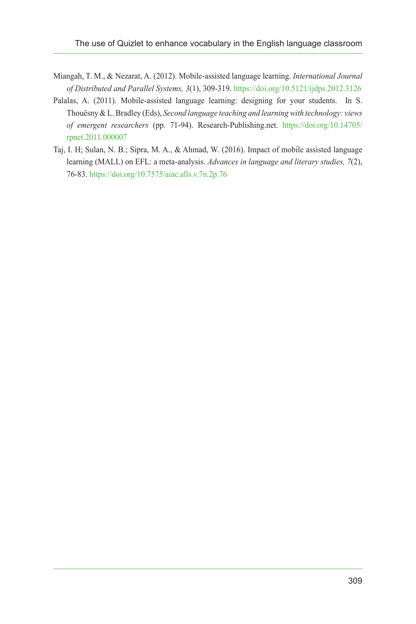- <span id="page-5-2"></span>Miangah, T. M., & Nezarat, A. (2012). Mobile-assisted language learning. *International Journal of Distributed and Parallel Systems, 3*(1), 309-319.<https://doi.org/10.5121/ijdps.2012.3126>
- <span id="page-5-0"></span>Palalas, A. (2011). Mobile-assisted language learning: designing for your students. In S. Thouësny & L. Bradley (Eds), *Second language teaching and learning with technology: views of emergent researchers* (pp. 71-94). Research-Publishing.net. [https://doi.org/10.14705/](https://doi.org/10.14705/rpnet.2011.000007) [rpnet.2011.000007](https://doi.org/10.14705/rpnet.2011.000007)
- <span id="page-5-1"></span>Taj, I. H; Sulan, N. B.; Sipra, M. A., & Ahmad, W. (2016). Impact of mobile assisted language learning (MALL) on EFL: a meta-analysis. *Advances in language and literary studies, 7*(2), 76-83.<https://doi.org/10.7575/aiac.alls.v.7n.2p.76>